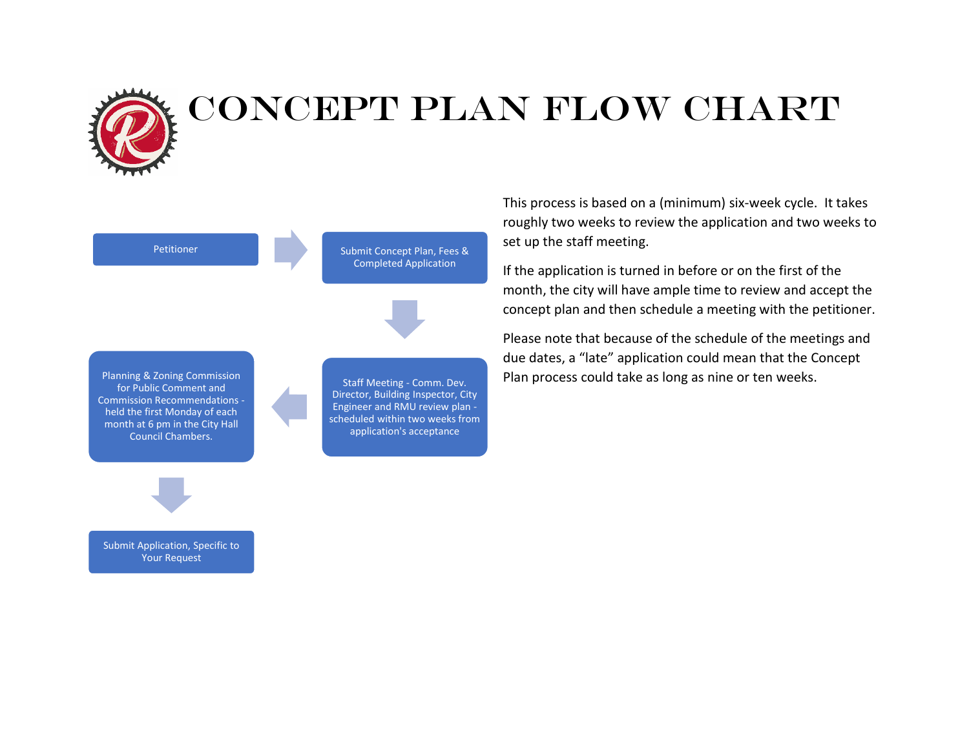

#### Petitioner Submit Concept Plan, Fees & Completed Application Staff Meeting - Comm. Dev. Director, Building Inspector, City Engineer and RMU review plan scheduled within two weeks from application's acceptance Planning & Zoning Commission for Public Comment and Commission Recommendations held the first Monday of each month at 6 pm in the City Hall Council Chambers.

This process is based on a (minimum) six-week cycle. It takes roughly two weeks to review the application and two weeks to set up the staff meeting.

If the application is turned in before or on the first of the month, the city will have ample time to review and accept the concept plan and then schedule a meeting with the petitioner.

Please note that because of the schedule of the meetings and due dates, a "late" application could mean that the Concept Plan process could take as long as nine or ten weeks.

Submit Application, Specific to Your Request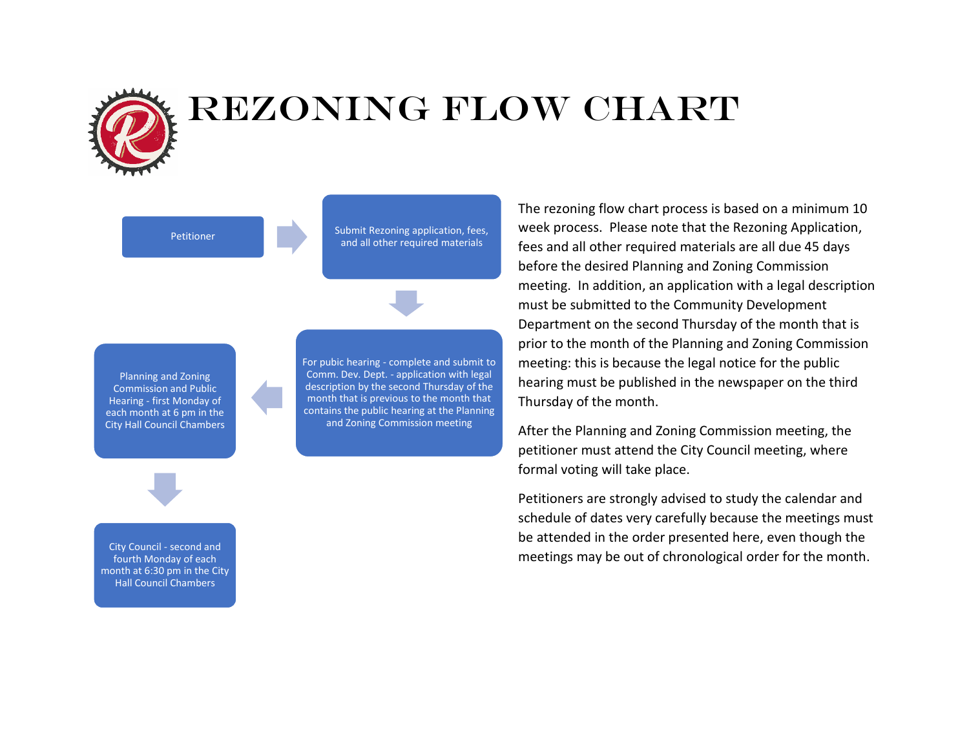

#### REZONING Flow Chart

Petitioner Submit Rezoning application, fees, and all other required materials

Planning and Zoning Commission and Public Hearing - first Monday of each month at 6 pm in the City Hall Council Chambers For pubic hearing - complete and submit to Comm. Dev. Dept. - application with legal description by the second Thursday of the month that is previous to the month that contains the public hearing at the Planning and Zoning Commission meeting

The rezoning flow chart process is based on a minimum 10 week process. Please note that the Rezoning Application, fees and all other required materials are all due 45 days before the desired Planning and Zoning Commission meeting. In addition, an application with a legal description must be submitted to the Community Development Department on the second Thursday of the month that is prior to the month of the Planning and Zoning Commission meeting: this is because the legal notice for the public hearing must be published in the newspaper on the third Thursday of the month.

After the Planning and Zoning Commission meeting, the petitioner must attend the City Council meeting, where formal voting will take place.

Petitioners are strongly advised to study the calendar and schedule of dates very carefully because the meetings must be attended in the order presented here, even though the meetings may be out of chronological order for the month.

City Council - second and fourth Monday of each month at 6:30 pm in the City Hall Council Chambers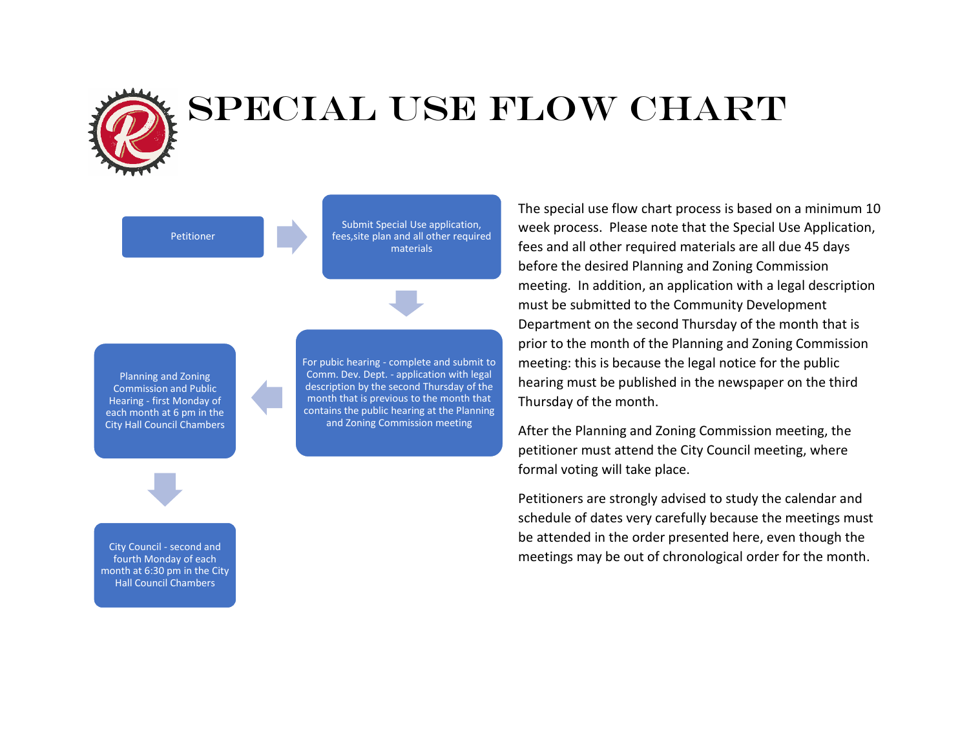

# SPECIAL USE FLOW CHART

Petitioner

Submit Special Use application, fees,site plan and all other required materials



For pubic hearing - complete and submit to Comm. Dev. Dept. - application with legal description by the second Thursday of the month that is previous to the month that contains the public hearing at the Planning and Zoning Commission meeting

The special use flow chart process is based on a minimum 10 week process. Please note that the Special Use Application, fees and all other required materials are all due 45 days before the desired Planning and Zoning Commission meeting. In addition, an application with a legal description must be submitted to the Community Development Department on the second Thursday of the month that is prior to the month of the Planning and Zoning Commission meeting: this is because the legal notice for the public hearing must be published in the newspaper on the third Thursday of the month.

After the Planning and Zoning Commission meeting, the petitioner must attend the City Council meeting, where formal voting will take place.

Petitioners are strongly advised to study the calendar and schedule of dates very carefully because the meetings must be attended in the order presented here, even though the meetings may be out of chronological order for the month.

City Council - second and fourth Monday of each month at 6:30 pm in the City Hall Council Chambers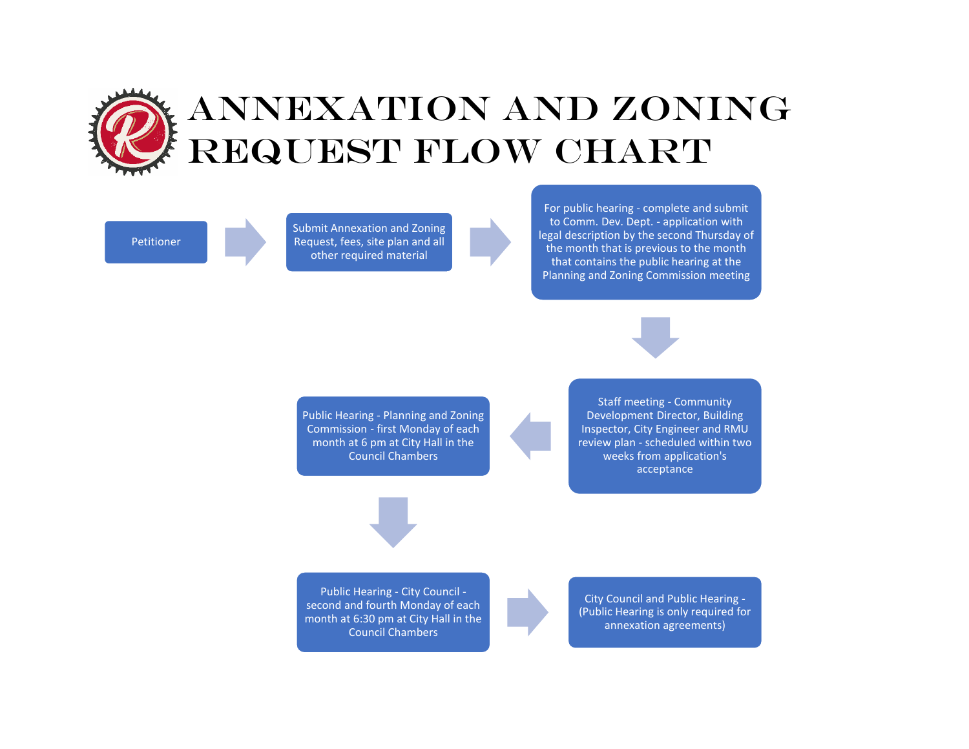

Petitioner

Submit Annexation and Zoning Request, fees, site plan and all other required material

For public hearing - complete and submit to Comm. Dev. Dept. - application with legal description by the second Thursday of the month that is previous to the month that contains the public hearing at the Planning and Zoning Commission meeting



Public Hearing - Planning and Zoning Commission - first Monday of each month at 6 pm at City Hall in the Council Chambers

Staff meeting - Community Development Director, Building Inspector, City Engineer and RMU review plan - scheduled within two weeks from application's acceptance





City Council and Public Hearing - (Public Hearing is only required for annexation agreements)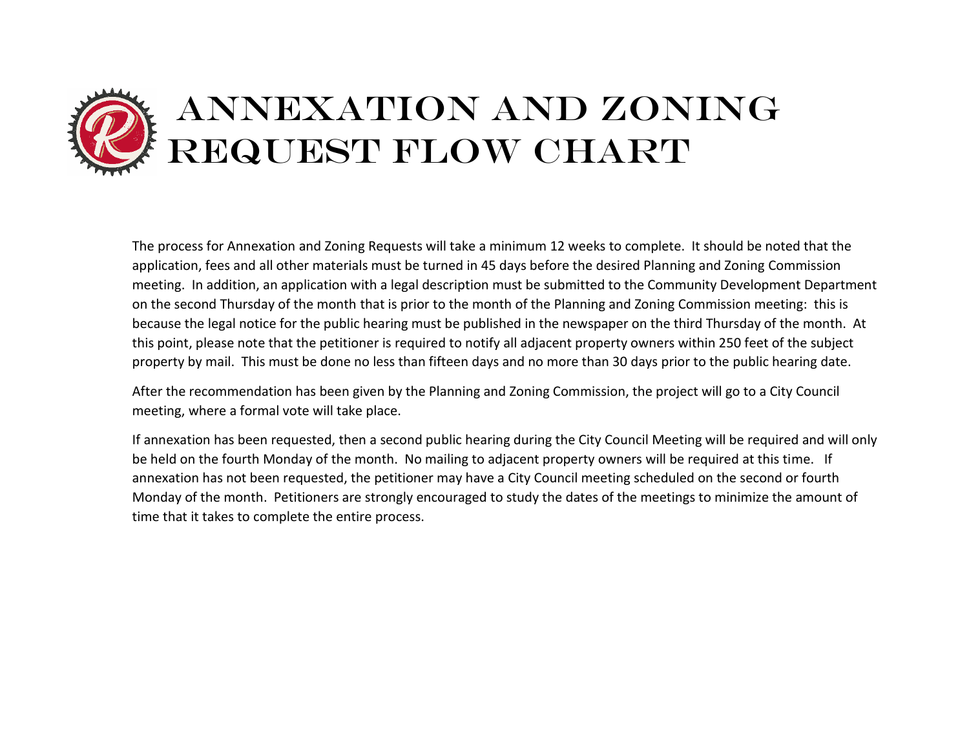# ANNEXATION AND ZONING REQUEST FLOW CHART

The process for Annexation and Zoning Requests will take a minimum 12 weeks to complete. It should be noted that the application, fees and all other materials must be turned in 45 days before the desired Planning and Zoning Commission meeting. In addition, an application with a legal description must be submitted to the Community Development Department on the second Thursday of the month that is prior to the month of the Planning and Zoning Commission meeting: this is because the legal notice for the public hearing must be published in the newspaper on the third Thursday of the month. At this point, please note that the petitioner is required to notify all adjacent property owners within 250 feet of the subject property by mail. This must be done no less than fifteen days and no more than 30 days prior to the public hearing date.

After the recommendation has been given by the Planning and Zoning Commission, the project will go to a City Council meeting, where a formal vote will take place.

If annexation has been requested, then a second public hearing during the City Council Meeting will be required and will only be held on the fourth Monday of the month. No mailing to adjacent property owners will be required at this time. If annexation has not been requested, the petitioner may have a City Council meeting scheduled on the second or fourth Monday of the month. Petitioners are strongly encouraged to study the dates of the meetings to minimize the amount of time that it takes to complete the entire process.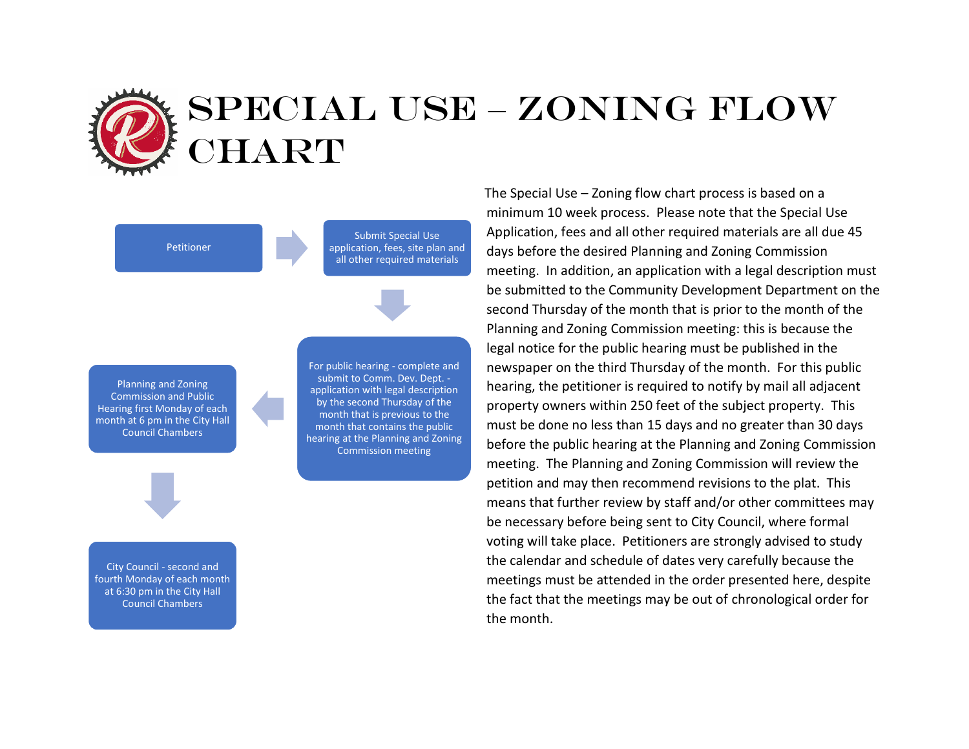### SPECIAL USE – ZONING FLOw IART

Petitioner

Submit Special Use application, fees, site plan and all other required materials

Planning and Zoning Commission and Public Hearing first Monday of each month at 6 pm in the City Hall Council Chambers

For public hearing - complete and submit to Comm. Dev. Dept. application with legal description by the second Thursday of the month that is previous to the month that contains the public hearing at the Planning and Zoning Commission meeting

City Council - second and fourth Monday of each month at 6:30 pm in the City Hall Council Chambers

The Special Use – Zoning flow chart process is based on a minimum 10 week process. Please note that the Special Use Application, fees and all other required materials are all due 45 days before the desired Planning and Zoning Commission meeting. In addition, an application with a legal description must be submitted to the Community Development Department on the second Thursday of the month that is prior to the month of the Planning and Zoning Commission meeting: this is because the legal notice for the public hearing must be published in the newspaper on the third Thursday of the month. For this public hearing, the petitioner is required to notify by mail all adjacent property owners within 250 feet of the subject property. This must be done no less than 15 days and no greater than 30 days before the public hearing at the Planning and Zoning Commission meeting. The Planning and Zoning Commission will review the petition and may then recommend revisions to the plat. This means that further review by staff and/or other committees may be necessary before being sent to City Council, where formal voting will take place. Petitioners are strongly advised to study the calendar and schedule of dates very carefully because the meetings must be attended in the order presented here, despite the fact that the meetings may be out of chronological order for the month.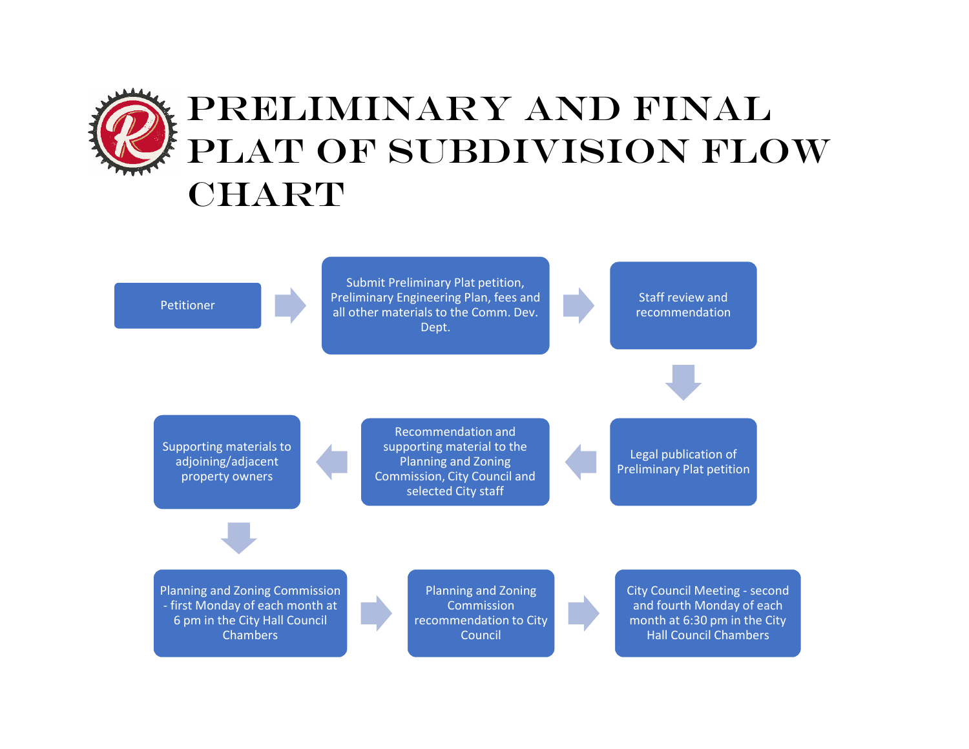# PRELIMINARY AND FINAL PLAT OF SUBDIVISION FLOW CHART

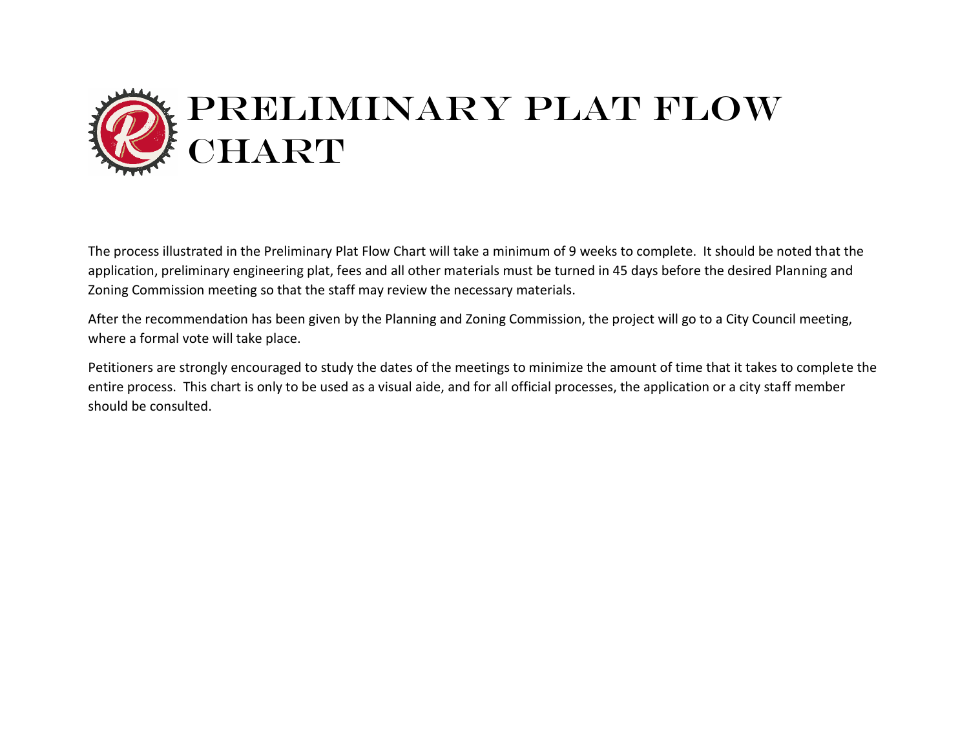

The process illustrated in the Preliminary Plat Flow Chart will take a minimum of 9 weeks to complete. It should be noted that the application, preliminary engineering plat, fees and all other materials must be turned in 45 days before the desired Planning and Zoning Commission meeting so that the staff may review the necessary materials.

After the recommendation has been given by the Planning and Zoning Commission, the project will go to a City Council meeting, where a formal vote will take place.

Petitioners are strongly encouraged to study the dates of the meetings to minimize the amount of time that it takes to complete the entire process. This chart is only to be used as a visual aide, and for all official processes, the application or a city staff member should be consulted.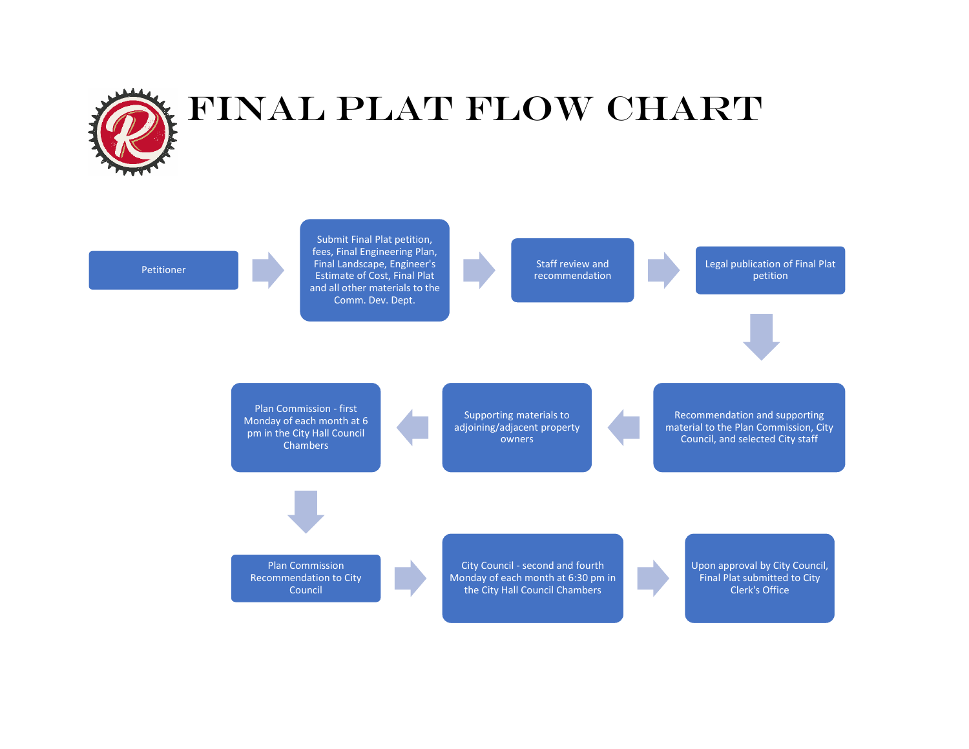

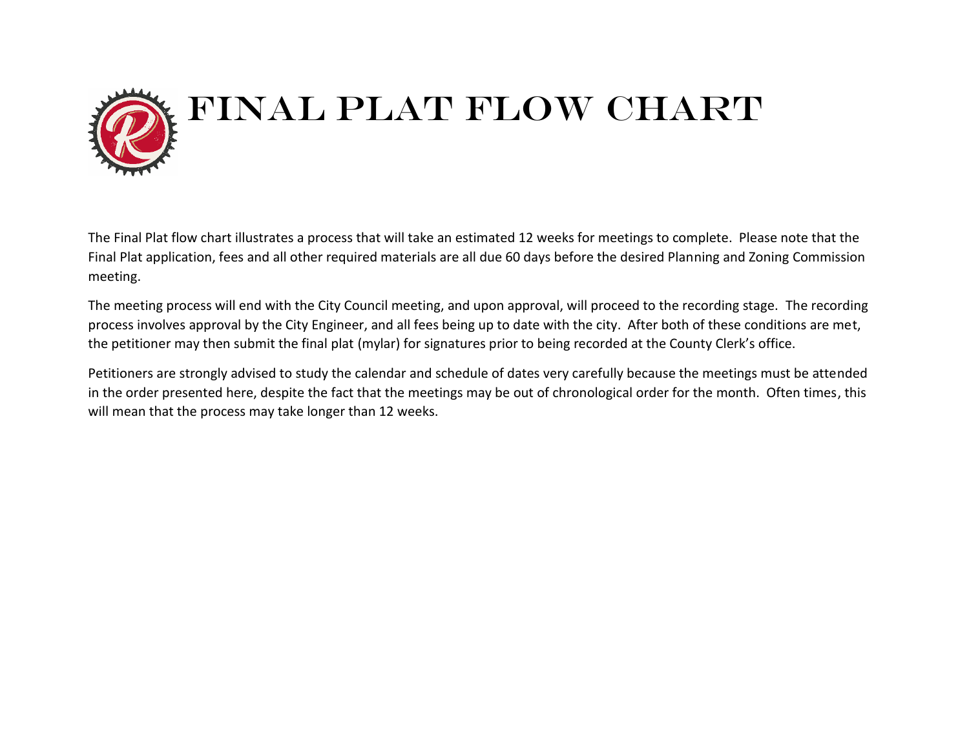

The Final Plat flow chart illustrates a process that will take an estimated 12 weeks for meetings to complete. Please note that the Final Plat application, fees and all other required materials are all due 60 days before the desired Planning and Zoning Commission meeting.

The meeting process will end with the City Council meeting, and upon approval, will proceed to the recording stage. The recording process involves approval by the City Engineer, and all fees being up to date with the city. After both of these conditions are met, the petitioner may then submit the final plat (mylar) for signatures prior to being recorded at the County Clerk's office.

Petitioners are strongly advised to study the calendar and schedule of dates very carefully because the meetings must be attended in the order presented here, despite the fact that the meetings may be out of chronological order for the month. Often times, this will mean that the process may take longer than 12 weeks.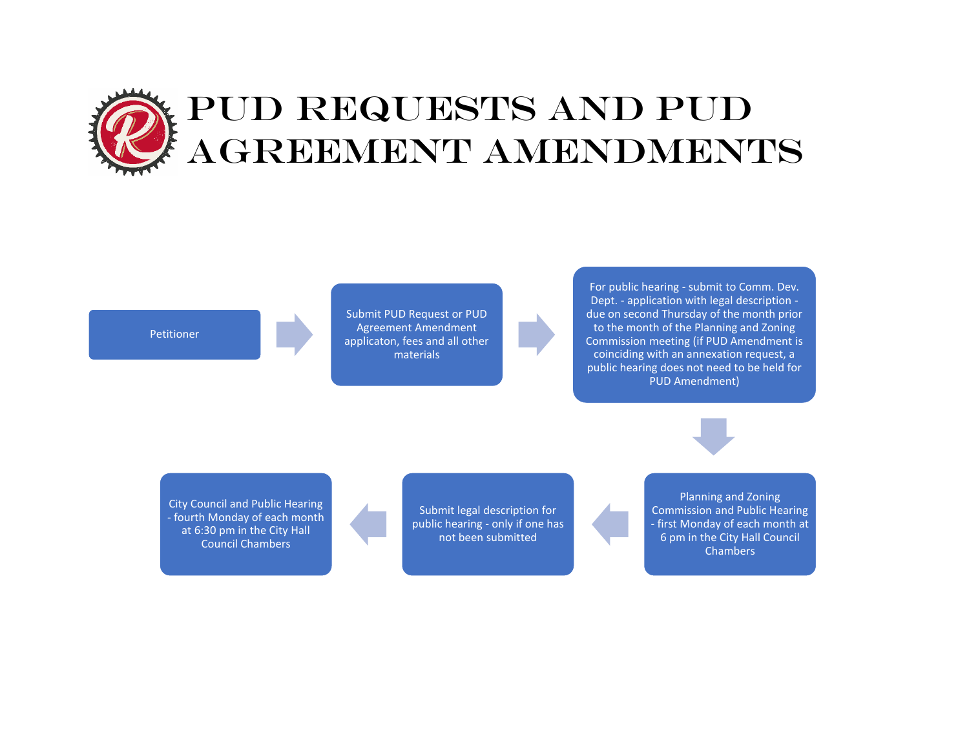# PUD REQUESTS AND PUD AGREEMENT AMENDMENTS

**Petitioner** 

Submit PUD Request or PUD Agreement Amendment applicaton, fees and all other materials

For public hearing - submit to Comm. Dev. Dept. - application with legal description due on second Thursday of the month prior to the month of the Planning and Zoning Commission meeting (if PUD Amendment is coinciding with an annexation request, a public hearing does not need to be held for PUD Amendment)

City Council and Public Hearing - fourth Monday of each month at 6:30 pm in the City Hall Council Chambers

Submit legal description for public hearing - only if one has not been submitted

Planning and Zoning Commission and Public Hearing - first Monday of each month at 6 pm in the City Hall Council **Chambers**